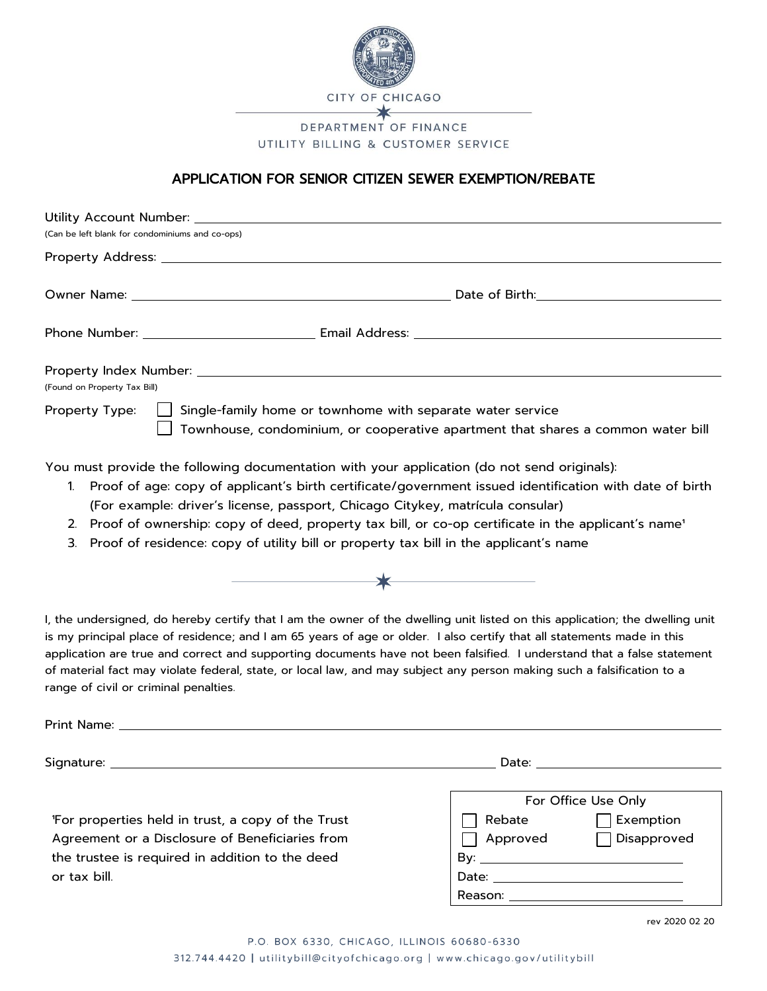

## UTILITY BILLING & CUSTOMER SERVICE

## APPLICATION FOR SENIOR CITIZEN SEWER EXEMPTION/REBATE

| (Can be left blank for condominiums and co-ops) |                                                                                                                                                                      |  |
|-------------------------------------------------|----------------------------------------------------------------------------------------------------------------------------------------------------------------------|--|
|                                                 |                                                                                                                                                                      |  |
|                                                 |                                                                                                                                                                      |  |
|                                                 |                                                                                                                                                                      |  |
|                                                 |                                                                                                                                                                      |  |
|                                                 |                                                                                                                                                                      |  |
| (Found on Property Tax Bill)                    |                                                                                                                                                                      |  |
|                                                 | Property Type: $\Box$ Single-family home or townhome with separate water service<br>Townhouse, condominium, or cooperative apartment that shares a common water bill |  |
|                                                 | You must provide the following documentation with your application (do not send originals):                                                                          |  |

- 1. Proof of age: copy of applicant's birth certificate/government issued identification with date of birth (For example: driver's license, passport, Chicago Citykey, matrícula consular)
- 2. Proof of ownership: copy of deed, property tax bill, or co-op certificate in the applicant's name<sup>1</sup>
- 3. Proof of residence: copy of utility bill or property tax bill in the applicant's name



I, the undersigned, do hereby certify that I am the owner of the dwelling unit listed on this application; the dwelling unit is my principal place of residence; and I am 65 years of age or older. I also certify that all statements made in this application are true and correct and supporting documents have not been falsified. I understand that a false statement of material fact may violate federal, state, or local law, and may subject any person making such a falsification to a range of civil or criminal penalties.

Print Name:

Signature: Date:

'For properties held in trust, a copy of the Trust Agreement or a Disclosure of Beneficiaries from the trustee is required in addition to the deed or tax bill.

| For Office Use Only |                  |  |  |
|---------------------|------------------|--|--|
| Rebate              | <b>Exemption</b> |  |  |
| Approved            | □ Disapproved    |  |  |
| Bv∶                 |                  |  |  |
| Date:               |                  |  |  |
| eason:              |                  |  |  |

rev 2020 02 20